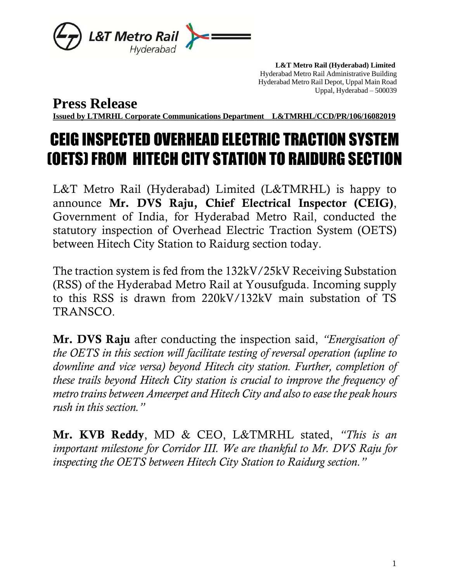

 **L&T Metro Rail (Hyderabad) Limited** Hyderabad Metro Rail Administrative Building Hyderabad Metro Rail Depot, Uppal Main Road Uppal, Hyderabad – 500039

**Press Release**

**Issued by LTMRHL Corporate Communications Department L&TMRHL/CCD/PR/106/16082019**

## CEIG INSPECTED OVERHEAD ELECTRIC TRACTION SYSTEM (OETS)FROM HITECH CITY STATION TO RAIDURG SECTION

L&T Metro Rail (Hyderabad) Limited (L&TMRHL) is happy to announce Mr. DVS Raju, Chief Electrical Inspector (CEIG), Government of India, for Hyderabad Metro Rail, conducted the statutory inspection of Overhead Electric Traction System (OETS) between Hitech City Station to Raidurg section today.

The traction system is fed from the 132kV/25kV Receiving Substation (RSS) of the Hyderabad Metro Rail at Yousufguda. Incoming supply to this RSS is drawn from 220kV/132kV main substation of TS TRANSCO.

Mr. DVS Raju after conducting the inspection said, *"Energisation of the OETS in this section will facilitate testing of reversal operation (upline to downline and vice versa) beyond Hitech city station. Further, completion of these trails beyond Hitech City station is crucial to improve the frequency of metro trains between Ameerpet and Hitech City and also to ease the peak hours rush in this section."*

Mr. KVB Reddy, MD & CEO, L&TMRHL stated, *"This is an important milestone for Corridor III. We are thankful to Mr. DVS Raju for inspecting the OETS between Hitech City Station to Raidurg section."*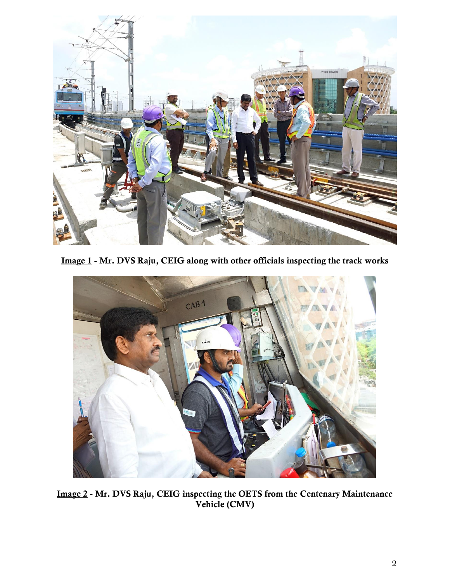

Image 1 - Mr. DVS Raju, CEIG along with other officials inspecting the track works



Image 2 - Mr. DVS Raju, CEIG inspecting the OETS from the Centenary Maintenance Vehicle (CMV)